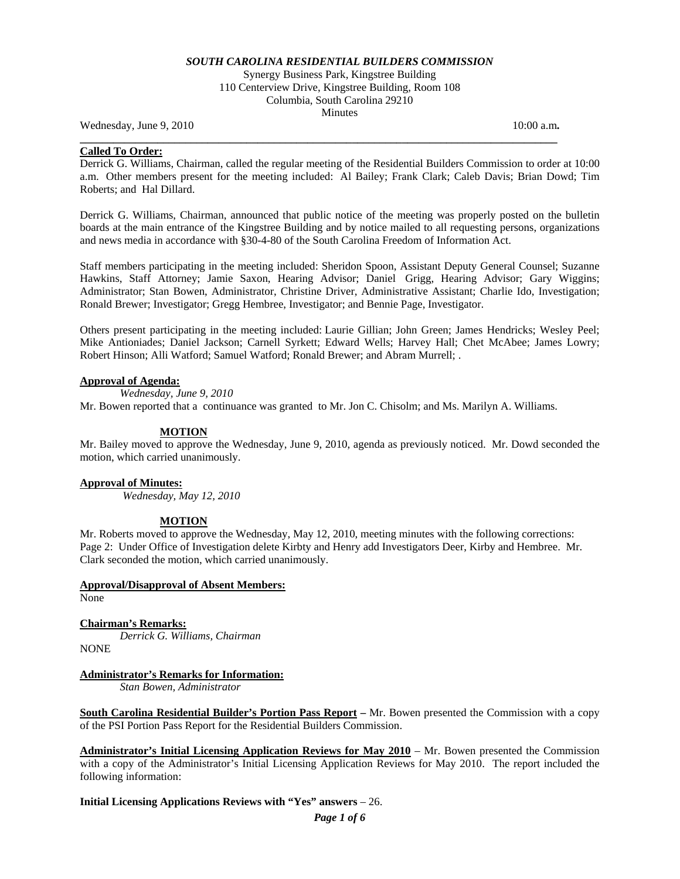## *SOUTH CAROLINA RESIDENTIAL BUILDERS COMMISSION*

Synergy Business Park, Kingstree Building 110 Centerview Drive, Kingstree Building, Room 108 Columbia, South Carolina 29210 **Minutes** 

**\_\_\_\_\_\_\_\_\_\_\_\_\_\_\_\_\_\_\_\_\_\_\_\_\_\_\_\_\_\_\_\_\_\_\_\_\_\_\_\_\_\_\_\_\_\_\_\_\_\_\_\_\_\_\_\_\_\_\_\_\_\_\_\_\_\_\_\_\_\_\_\_\_\_\_\_\_\_\_\_\_\_\_\_\_\_** 

Wednesday, June 9, 2010 10:00 a.m. **10:00 a.m. 10:00 a.m. 10:00 a.m.** 

**Called To Order:** 

Derrick G. Williams, Chairman, called the regular meeting of the Residential Builders Commission to order at 10:00 a.m. Other members present for the meeting included: Al Bailey; Frank Clark; Caleb Davis; Brian Dowd; Tim Roberts; and Hal Dillard.

Derrick G. Williams, Chairman, announced that public notice of the meeting was properly posted on the bulletin boards at the main entrance of the Kingstree Building and by notice mailed to all requesting persons, organizations and news media in accordance with §30-4-80 of the South Carolina Freedom of Information Act.

Staff members participating in the meeting included: Sheridon Spoon, Assistant Deputy General Counsel; Suzanne Hawkins, Staff Attorney; Jamie Saxon, Hearing Advisor; Daniel Grigg, Hearing Advisor; Gary Wiggins; Administrator; Stan Bowen, Administrator, Christine Driver, Administrative Assistant; Charlie Ido, Investigation; Ronald Brewer; Investigator; Gregg Hembree, Investigator; and Bennie Page, Investigator.

Others present participating in the meeting included: Laurie Gillian; John Green; James Hendricks; Wesley Peel; Mike Antioniades; Daniel Jackson; Carnell Syrkett; Edward Wells; Harvey Hall; Chet McAbee; James Lowry; Robert Hinson; Alli Watford; Samuel Watford; Ronald Brewer; and Abram Murrell; .

#### **Approval of Agenda:**

*Wednesday, June 9, 2010* 

Mr. Bowen reported that a continuance was granted to Mr. Jon C. Chisolm; and Ms. Marilyn A. Williams.

#### **MOTION**

Mr. Bailey moved to approve the Wednesday, June 9, 2010, agenda as previously noticed. Mr. Dowd seconded the motion, which carried unanimously.

#### **Approval of Minutes:**

*Wednesday, May 12, 2010* 

#### **MOTION**

Mr. Roberts moved to approve the Wednesday, May 12, 2010, meeting minutes with the following corrections: Page 2: Under Office of Investigation delete Kirbty and Henry add Investigators Deer, Kirby and Hembree. Mr. Clark seconded the motion, which carried unanimously.

## **Approval/Disapproval of Absent Members:**

None

#### **Chairman's Remarks:**

*Derrick G. Williams, Chairman*  NONE

#### **Administrator's Remarks for Information:**

 *Stan Bowen, Administrator* 

**South Carolina Residential Builder's Portion Pass Report –** Mr. Bowen presented the Commission with a copy of the PSI Portion Pass Report for the Residential Builders Commission.

**Administrator's Initial Licensing Application Reviews for May 2010** – Mr. Bowen presented the Commission with a copy of the Administrator's Initial Licensing Application Reviews for May 2010. The report included the following information:

**Initial Licensing Applications Reviews with "Yes" answers** – 26.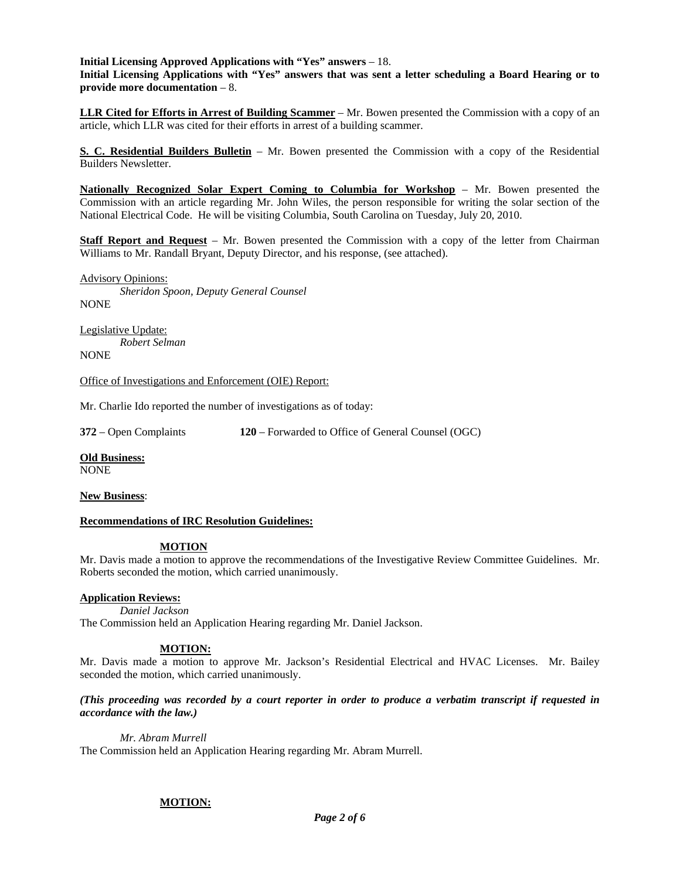**Initial Licensing Approved Applications with "Yes" answers** – 18. **Initial Licensing Applications with "Yes" answers that was sent a letter scheduling a Board Hearing or to provide more documentation** – 8.

**LLR Cited for Efforts in Arrest of Building Scammer** – Mr. Bowen presented the Commission with a copy of an article, which LLR was cited for their efforts in arrest of a building scammer.

**S. C. Residential Builders Bulletin** – Mr. Bowen presented the Commission with a copy of the Residential Builders Newsletter.

**Nationally Recognized Solar Expert Coming to Columbia for Workshop** – Mr. Bowen presented the Commission with an article regarding Mr. John Wiles, the person responsible for writing the solar section of the National Electrical Code. He will be visiting Columbia, South Carolina on Tuesday, July 20, 2010.

**Staff Report and Request** – Mr. Bowen presented the Commission with a copy of the letter from Chairman Williams to Mr. Randall Bryant, Deputy Director, and his response, (see attached).

Advisory Opinions: *Sheridon Spoon, Deputy General Counsel*  **NONE** 

Legislative Update: *Robert Selman*  **NONE** 

Office of Investigations and Enforcement (OIE) Report:

Mr. Charlie Ido reported the number of investigations as of today:

**372** – Open Complaints **120** – Forwarded to Office of General Counsel (OGC)

**Old Business:** NONE

**New Business**:

#### **Recommendations of IRC Resolution Guidelines:**

## **MOTION**

Mr. Davis made a motion to approve the recommendations of the Investigative Review Committee Guidelines. Mr. Roberts seconded the motion, which carried unanimously.

# **Application Reviews:**

*Daniel Jackson* 

The Commission held an Application Hearing regarding Mr. Daniel Jackson.

## **MOTION:**

Mr. Davis made a motion to approve Mr. Jackson's Residential Electrical and HVAC Licenses. Mr. Bailey seconded the motion, which carried unanimously.

## *(This proceeding was recorded by a court reporter in order to produce a verbatim transcript if requested in accordance with the law.)*

*Mr. Abram Murrell*  The Commission held an Application Hearing regarding Mr. Abram Murrell.

## **MOTION:**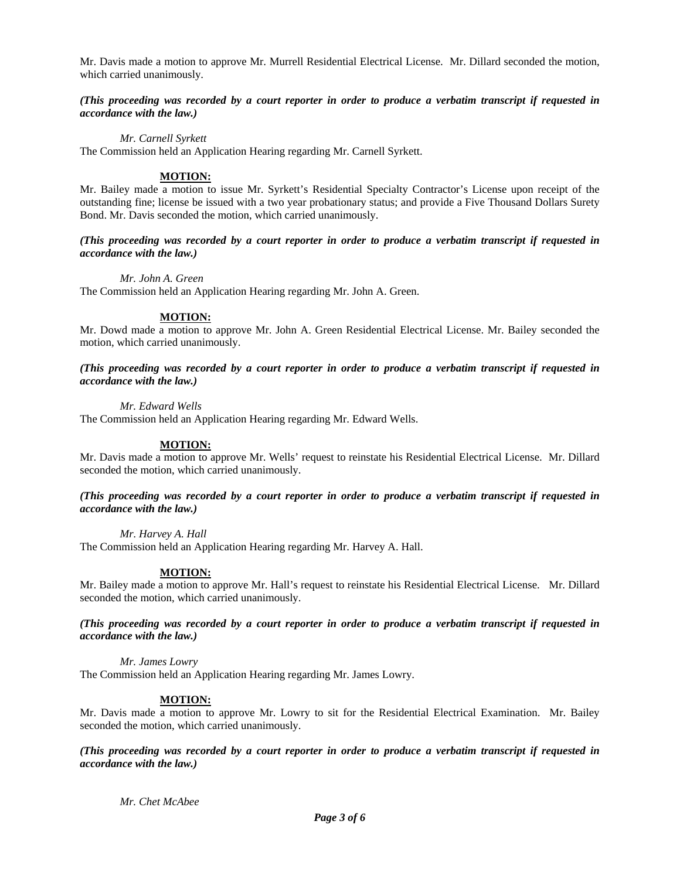Mr. Davis made a motion to approve Mr. Murrell Residential Electrical License. Mr. Dillard seconded the motion, which carried unanimously.

### *(This proceeding was recorded by a court reporter in order to produce a verbatim transcript if requested in accordance with the law.)*

*Mr. Carnell Syrkett* 

The Commission held an Application Hearing regarding Mr. Carnell Syrkett.

## **MOTION:**

Mr. Bailey made a motion to issue Mr. Syrkett's Residential Specialty Contractor's License upon receipt of the outstanding fine; license be issued with a two year probationary status; and provide a Five Thousand Dollars Surety Bond. Mr. Davis seconded the motion, which carried unanimously.

*(This proceeding was recorded by a court reporter in order to produce a verbatim transcript if requested in accordance with the law.)* 

*Mr. John A. Green* 

The Commission held an Application Hearing regarding Mr. John A. Green.

# **MOTION:**

Mr. Dowd made a motion to approve Mr. John A. Green Residential Electrical License. Mr. Bailey seconded the motion, which carried unanimously.

*(This proceeding was recorded by a court reporter in order to produce a verbatim transcript if requested in accordance with the law.)* 

#### *Mr. Edward Wells*

The Commission held an Application Hearing regarding Mr. Edward Wells.

## **MOTION:**

Mr. Davis made a motion to approve Mr. Wells' request to reinstate his Residential Electrical License. Mr. Dillard seconded the motion, which carried unanimously.

### *(This proceeding was recorded by a court reporter in order to produce a verbatim transcript if requested in accordance with the law.)*

*Mr. Harvey A. Hall* 

The Commission held an Application Hearing regarding Mr. Harvey A. Hall.

## **MOTION:**

Mr. Bailey made a motion to approve Mr. Hall's request to reinstate his Residential Electrical License. Mr. Dillard seconded the motion, which carried unanimously.

*(This proceeding was recorded by a court reporter in order to produce a verbatim transcript if requested in accordance with the law.)* 

*Mr. James Lowry* 

The Commission held an Application Hearing regarding Mr. James Lowry.

## **MOTION:**

Mr. Davis made a motion to approve Mr. Lowry to sit for the Residential Electrical Examination. Mr. Bailey seconded the motion, which carried unanimously.

*(This proceeding was recorded by a court reporter in order to produce a verbatim transcript if requested in accordance with the law.)* 

*Mr. Chet McAbee*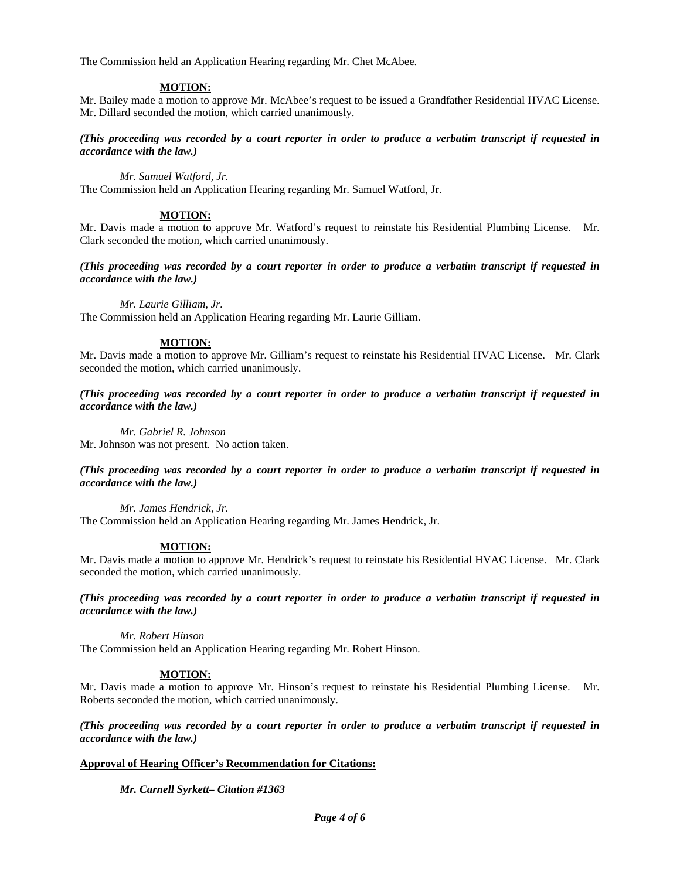The Commission held an Application Hearing regarding Mr. Chet McAbee.

#### **MOTION:**

Mr. Bailey made a motion to approve Mr. McAbee's request to be issued a Grandfather Residential HVAC License. Mr. Dillard seconded the motion, which carried unanimously.

*(This proceeding was recorded by a court reporter in order to produce a verbatim transcript if requested in accordance with the law.)* 

*Mr. Samuel Watford, Jr.* 

The Commission held an Application Hearing regarding Mr. Samuel Watford, Jr.

#### **MOTION:**

Mr. Davis made a motion to approve Mr. Watford's request to reinstate his Residential Plumbing License. Mr. Clark seconded the motion, which carried unanimously.

*(This proceeding was recorded by a court reporter in order to produce a verbatim transcript if requested in accordance with the law.)* 

*Mr. Laurie Gilliam, Jr.* 

The Commission held an Application Hearing regarding Mr. Laurie Gilliam.

### **MOTION:**

Mr. Davis made a motion to approve Mr. Gilliam's request to reinstate his Residential HVAC License. Mr. Clark seconded the motion, which carried unanimously.

*(This proceeding was recorded by a court reporter in order to produce a verbatim transcript if requested in accordance with the law.)* 

*Mr. Gabriel R. Johnson* 

Mr. Johnson was not present. No action taken.

## *(This proceeding was recorded by a court reporter in order to produce a verbatim transcript if requested in accordance with the law.)*

*Mr. James Hendrick, Jr.* 

The Commission held an Application Hearing regarding Mr. James Hendrick, Jr.

## **MOTION:**

Mr. Davis made a motion to approve Mr. Hendrick's request to reinstate his Residential HVAC License. Mr. Clark seconded the motion, which carried unanimously.

*(This proceeding was recorded by a court reporter in order to produce a verbatim transcript if requested in accordance with the law.)* 

*Mr. Robert Hinson* 

The Commission held an Application Hearing regarding Mr. Robert Hinson.

## **MOTION:**

Mr. Davis made a motion to approve Mr. Hinson's request to reinstate his Residential Plumbing License. Mr. Roberts seconded the motion, which carried unanimously.

*(This proceeding was recorded by a court reporter in order to produce a verbatim transcript if requested in accordance with the law.)* 

## **Approval of Hearing Officer's Recommendation for Citations:**

*Mr. Carnell Syrkett– Citation #1363*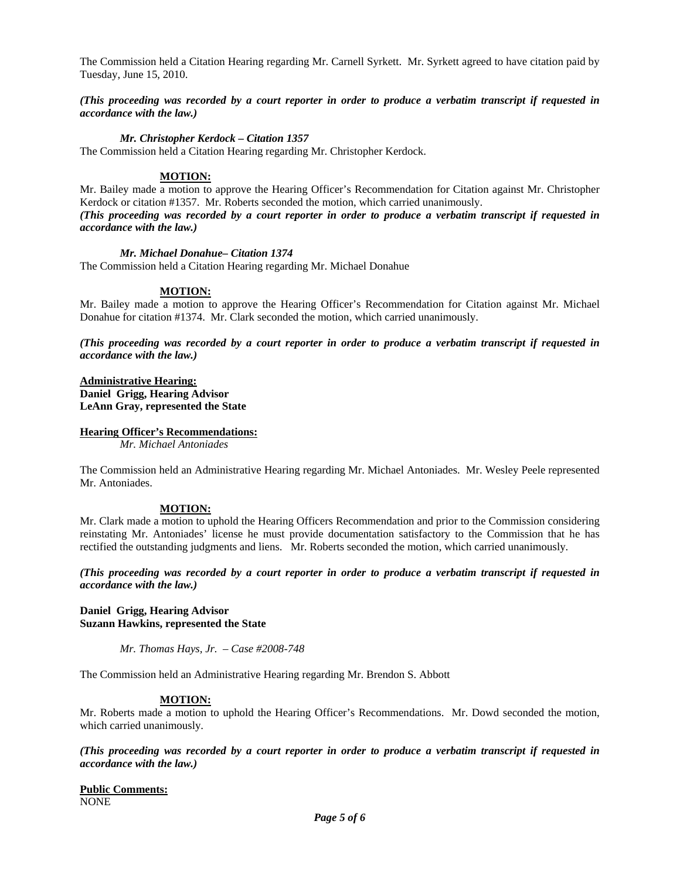The Commission held a Citation Hearing regarding Mr. Carnell Syrkett. Mr. Syrkett agreed to have citation paid by Tuesday, June 15, 2010.

*(This proceeding was recorded by a court reporter in order to produce a verbatim transcript if requested in accordance with the law.)* 

#### *Mr. Christopher Kerdock – Citation 1357*

The Commission held a Citation Hearing regarding Mr. Christopher Kerdock.

### **MOTION:**

Mr. Bailey made a motion to approve the Hearing Officer's Recommendation for Citation against Mr. Christopher Kerdock or citation #1357. Mr. Roberts seconded the motion, which carried unanimously.

*(This proceeding was recorded by a court reporter in order to produce a verbatim transcript if requested in accordance with the law.)* 

#### *Mr. Michael Donahue– Citation 1374*

The Commission held a Citation Hearing regarding Mr. Michael Donahue

### **MOTION:**

Mr. Bailey made a motion to approve the Hearing Officer's Recommendation for Citation against Mr. Michael Donahue for citation #1374. Mr. Clark seconded the motion, which carried unanimously.

*(This proceeding was recorded by a court reporter in order to produce a verbatim transcript if requested in accordance with the law.)* 

**Administrative Hearing: Daniel Grigg, Hearing Advisor LeAnn Gray, represented the State** 

### **Hearing Officer's Recommendations:**

 *Mr. Michael Antoniades* 

The Commission held an Administrative Hearing regarding Mr. Michael Antoniades. Mr. Wesley Peele represented Mr. Antoniades.

#### **MOTION:**

Mr. Clark made a motion to uphold the Hearing Officers Recommendation and prior to the Commission considering reinstating Mr. Antoniades' license he must provide documentation satisfactory to the Commission that he has rectified the outstanding judgments and liens. Mr. Roberts seconded the motion, which carried unanimously.

*(This proceeding was recorded by a court reporter in order to produce a verbatim transcript if requested in accordance with the law.)* 

**Daniel Grigg, Hearing Advisor Suzann Hawkins, represented the State** 

*Mr. Thomas Hays, Jr. – Case #2008-748* 

The Commission held an Administrative Hearing regarding Mr. Brendon S. Abbott

## **MOTION:**

Mr. Roberts made a motion to uphold the Hearing Officer's Recommendations. Mr. Dowd seconded the motion, which carried unanimously.

*(This proceeding was recorded by a court reporter in order to produce a verbatim transcript if requested in accordance with the law.)* 

**Public Comments:** NONE